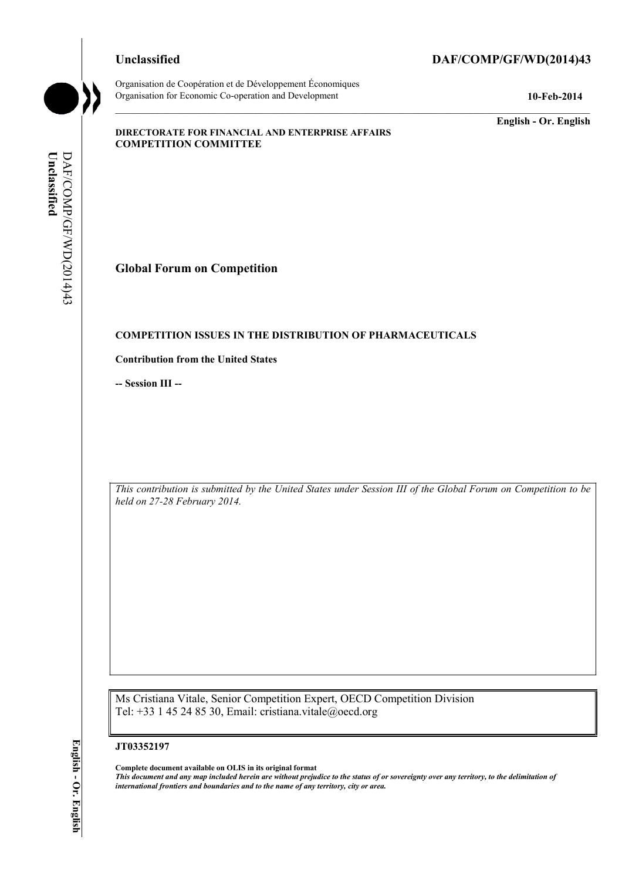Organisation de Coopération et de Développement Économiques Organisation for Economic Co-operation and Development **10-Feb-2014** 

#### **Unclassified DAF/COMP/GF/WD(2014)43**

**English - Or. English** 

#### **DIRECTORATE FOR FINANCIAL AND ENTERPRISE AFFAIRS COMPETITION COMMITTEE**

Unclassified **Unclassified**  DAF/COMP/GF/WD(2014)43 DAF/COMP/GF/WD(2014)43

**Global Forum on Competition** 

#### **COMPETITION ISSUES IN THE DISTRIBUTION OF PHARMACEUTICALS**

**Contribution from the United States** 

**-- Session III --**

*This contribution is submitted by the United States under Session III of the Global Forum on Competition to be held on 27-28 February 2014.* 

Ms Cristiana Vitale, Senior Competition Expert, OECD Competition Division Tel: +33 1 45 24 85 30, Email: cristiana.vitale@oecd.org

#### **JT03352197**

 **Complete document available on OLIS in its original format**   *This document and any map included herein are without prejudice to the status of or sovereignty over any territory, to the delimitation of international frontiers and boundaries and to the name of any territory, city or area.*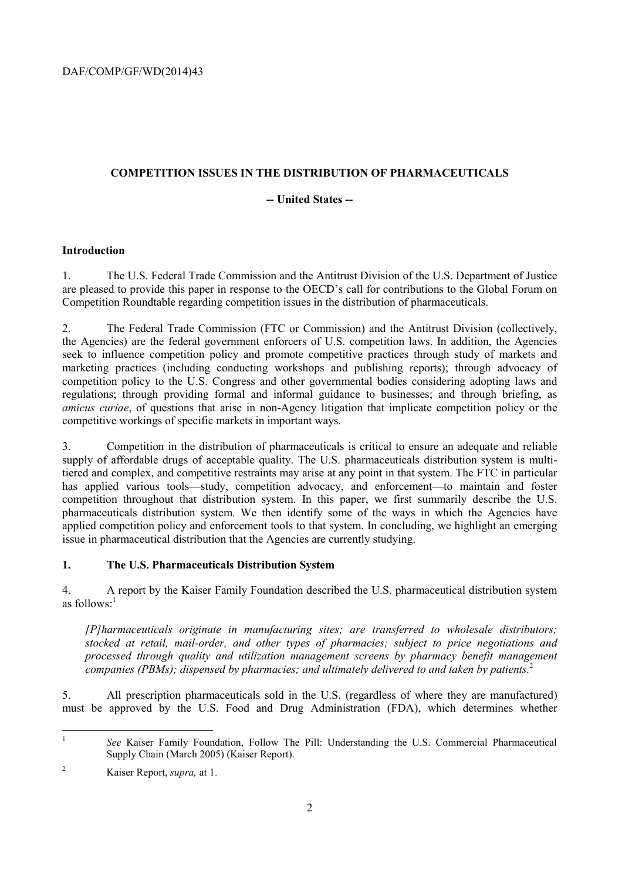# **COMPETITION ISSUES IN THE DISTRIBUTION OF PHARMACEUTICALS**

# **-- United States --**

# **Introduction**

1. The U.S. Federal Trade Commission and the Antitrust Division of the U.S. Department of Justice are pleased to provide this paper in response to the OECD's call for contributions to the Global Forum on Competition Roundtable regarding competition issues in the distribution of pharmaceuticals.

2. The Federal Trade Commission (FTC or Commission) and the Antitrust Division (collectively, the Agencies) are the federal government enforcers of U.S. competition laws. In addition, the Agencies seek to influence competition policy and promote competitive practices through study of markets and marketing practices (including conducting workshops and publishing reports); through advocacy of competition policy to the U.S. Congress and other governmental bodies considering adopting laws and regulations; through providing formal and informal guidance to businesses; and through briefing, as *amicus curiae*, of questions that arise in non-Agency litigation that implicate competition policy or the competitive workings of specific markets in important ways.

 competition throughout that distribution system. In this paper, we first summarily describe the U.S. issue in pharmaceutical distribution that the Agencies are currently studying. 3. Competition in the distribution of pharmaceuticals is critical to ensure an adequate and reliable supply of affordable drugs of acceptable quality. The U.S. pharmaceuticals distribution system is multitiered and complex, and competitive restraints may arise at any point in that system. The FTC in particular has applied various tools—study, competition advocacy, and enforcement—to maintain and foster pharmaceuticals distribution system. We then identify some of the ways in which the Agencies have applied competition policy and enforcement tools to that system. In concluding, we highlight an emerging

# **1. The U.S. Pharmaceuticals Distribution System**

4. A report by the Kaiser Family Foundation described the U.S. pharmaceutical distribution system as follows: $<sup>1</sup>$ </sup>

*[P]harmaceuticals originate in manufacturing sites; are transferred to wholesale distributors; stocked at retail, mail-order, and other types of pharmacies; subject to price negotiations and processed through quality and utilization management screens by pharmacy benefit management companies (PBMs); dispensed by pharmacies; and ultimately delivered to and taken by patients.*<sup>2</sup>

5. All prescription pharmaceuticals sold in the U.S. (regardless of where they are manufactured) must be approved by the U.S. Food and Drug Administration (FDA), which determines whether

 $\overline{a}$ See Kaiser Family Foundation, Follow The Pill: Understanding the U.S. Commercial Pharmaceutical Supply Chain (March 2005) (Kaiser Report).

<sup>2</sup> Kaiser Report, *supra,* at 1.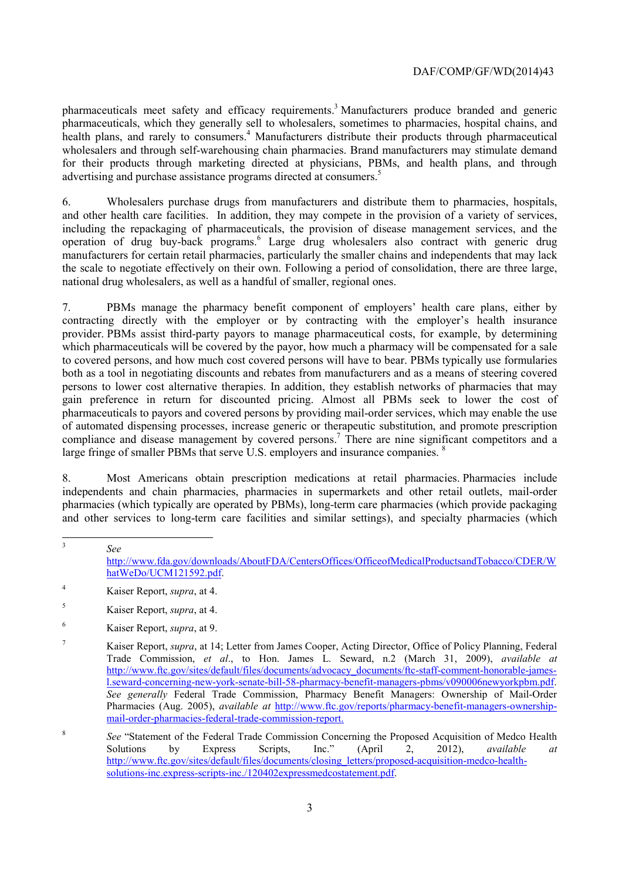pharmaceuticals, which they generally sell to wholesalers, sometimes to pharmacies, hospital chains, and advertising and purchase assistance programs directed at consumers.<sup>5</sup> pharmaceuticals meet safety and efficacy requirements.<sup>3</sup> Manufacturers produce branded and generic health plans, and rarely to consumers.<sup>4</sup> Manufacturers distribute their products through pharmaceutical wholesalers and through self-warehousing chain pharmacies. Brand manufacturers may stimulate demand for their products through marketing directed at physicians, PBMs, and health plans, and through

6. Wholesalers purchase drugs from manufacturers and distribute them to pharmacies, hospitals, and other health care facilities. In addition, they may compete in the provision of a variety of services, including the repackaging of pharmaceuticals, the provision of disease management services, and the operation of drug buy-back programs.<sup>6</sup> Large drug wholesalers also contract with generic drug manufacturers for certain retail pharmacies, particularly the smaller chains and independents that may lack the scale to negotiate effectively on their own. Following a period of consolidation, there are three large, national drug wholesalers, as well as a handful of smaller, regional ones.

7. PBMs manage the pharmacy benefit component of employers' health care plans, either by contracting directly with the employer or by contracting with the employer's health insurance provider. PBMs assist third-party payors to manage pharmaceutical costs, for example, by determining which pharmaceuticals will be covered by the payor, how much a pharmacy will be compensated for a sale to covered persons, and how much cost covered persons will have to bear. PBMs typically use formularies both as a tool in negotiating discounts and rebates from manufacturers and as a means of steering covered persons to lower cost alternative therapies. In addition, they establish networks of pharmacies that may gain preference in return for discounted pricing. Almost all PBMs seek to lower the cost of pharmaceuticals to payors and covered persons by providing mail-order services, which may enable the use of automated dispensing processes, increase generic or therapeutic substitution, and promote prescription compliance and disease management by covered persons.<sup>7</sup> There are nine significant competitors and a large fringe of smaller PBMs that serve U.S. employers and insurance companies. <sup>8</sup>

8. Most Americans obtain prescription medications at retail pharmacies. Pharmacies include independents and chain pharmacies, pharmacies in supermarkets and other retail outlets, mail-order pharmacies (which typically are operated by PBMs), long-term care pharmacies (which provide packaging and other services to long-term care facilities and similar settings), and specialty pharmacies (which

 <sup>3</sup> *See* 

<sup>6</sup> Kaiser Report, *supra*, at 9.

http://www.fda.gov/downloads/AboutFDA/CentersOffices/OfficeofMedicalProductsandTobacco/CDER/W hatWeDo/UCM121592.pdf.

<sup>4</sup> Kaiser Report, *supra*, at 4.

<sup>5</sup> Kaiser Report, *supra*, at 4.

mail-order-pharmacies-federal-trade-commission-report. <sup>7</sup> Kaiser Report, *supra*, at 14; Letter from James Cooper, Acting Director, Office of Policy Planning, Federal Trade Commission, *et al*., to Hon. James L. Seward, n.2 (March 31, 2009), *available at*  http://www.ftc.gov/sites/default/files/documents/advocacy\_documents/ftc-staff-comment-honorable-jamesl.seward-concerning-new-york-senate-bill-58-pharmacy-benefit-managers-pbms/v090006newyorkpbm.pdf. *See generally* Federal Trade Commission, Pharmacy Benefit Managers: Ownership of Mail-Order Pharmacies (Aug. 2005), *available at* http://www.ftc.gov/reports/pharmacy-benefit-managers-ownership-

<sup>&</sup>lt;sup>8</sup> See "Statement of the Federal-Trade-Commission-Concerning the Proposed Acquisition of Medco-Health-Solutions by Express Scripts, Inc." (April 2, 2012), *available at* Solutions by Express Scripts, Inc." (April 2, 2012), *available at*  http://www.ftc.gov/sites/default/files/documents/closing\_letters/proposed-acquisition-medco-healthsolutions-inc.express-scripts-inc./120402expressmedcostatement.pdf.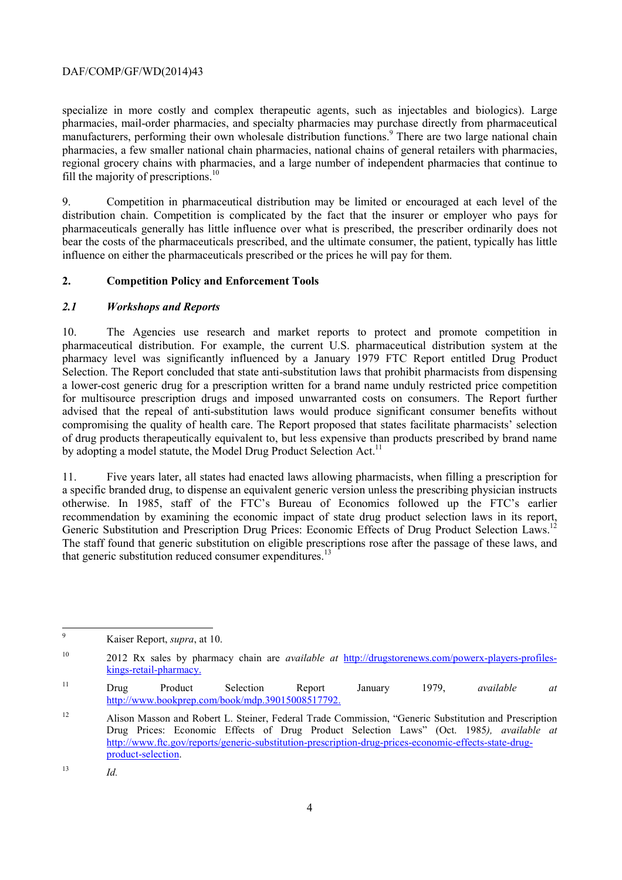fill the majority of prescriptions.<sup>10</sup> specialize in more costly and complex therapeutic agents, such as injectables and biologics). Large pharmacies, mail-order pharmacies, and specialty pharmacies may purchase directly from pharmaceutical manufacturers, performing their own wholesale distribution functions.<sup>9</sup> There are two large national chain pharmacies, a few smaller national chain pharmacies, national chains of general retailers with pharmacies, regional grocery chains with pharmacies, and a large number of independent pharmacies that continue to

 9. Competition in pharmaceutical distribution may be limited or encouraged at each level of the distribution chain. Competition is complicated by the fact that the insurer or employer who pays for pharmaceuticals generally has little influence over what is prescribed, the prescriber ordinarily does not bear the costs of the pharmaceuticals prescribed, and the ultimate consumer, the patient, typically has little influence on either the pharmaceuticals prescribed or the prices he will pay for them.

#### **2. Competition Policy and Enforcement Tools**

#### *2.1 Workshops and Reports*

10. The Agencies use research and market reports to protect and promote competition in pharmaceutical distribution. For example, the current U.S. pharmaceutical distribution system at the pharmacy level was significantly influenced by a January 1979 FTC Report entitled Drug Product Selection. The Report concluded that state anti-substitution laws that prohibit pharmacists from dispensing a lower-cost generic drug for a prescription written for a brand name unduly restricted price competition for multisource prescription drugs and imposed unwarranted costs on consumers. The Report further advised that the repeal of anti-substitution laws would produce significant consumer benefits without compromising the quality of health care. The Report proposed that states facilitate pharmacists' selection of drug products therapeutically equivalent to, but less expensive than products prescribed by brand name by adopting a model statute, the Model Drug Product Selection Act.<sup>11</sup>

11. Five years later, all states had enacted laws allowing pharmacists, when filling a prescription for a specific branded drug, to dispense an equivalent generic version unless the prescribing physician instructs otherwise. In 1985, staff of the FTC's Bureau of Economics followed up the FTC's earlier recommendation by examining the economic impact of state drug product selection laws in its report, Generic Substitution and Prescription Drug Prices: Economic Effects of Drug Product Selection Laws.<sup>1</sup> The staff found that generic substitution on eligible prescriptions rose after the passage of these laws, and that generic substitution reduced consumer expenditures. $^{13}$ 

 $\overline{a}$ Kaiser Report, *supra*, at 10.

 $10$ kings-retail-pharmacy. <sup>10</sup> 2012 Rx sales by pharmacy chain are *available at* http://drugstorenews.com/powerx-players-profiles-

 $11$ http://www.bookprep.com/book/mdp.39015008517792. kings-retail-pharmacy. 11 Drug Product Selection Report January 1979, *available at* 

 $12$ **product-selection**.<br>
<sup>13</sup> *Id.* Alison Masson and Robert L. Steiner, Federal Trade Commission, "Generic Substitution and Prescription Drug Prices: Economic Effects of Drug Product Selection Laws" (Oct. 1985*), available at*  http://www.ftc.gov/reports/generic-substitution-prescription-drug-prices-economic-effects-state-drug-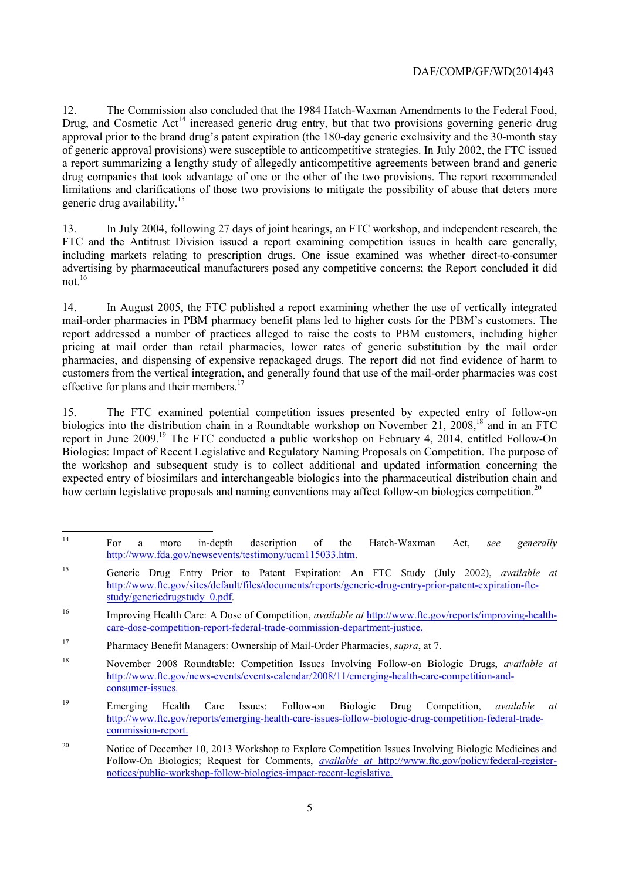generic drug availability.<sup>15</sup> 12. The Commission also concluded that the 1984 Hatch-Waxman Amendments to the Federal Food, Drug, and Cosmetic  $Act^{14}$  increased generic drug entry, but that two provisions governing generic drug approval prior to the brand drug's patent expiration (the 180-day generic exclusivity and the 30-month stay of generic approval provisions) were susceptible to anticompetitive strategies. In July 2002, the FTC issued a report summarizing a lengthy study of allegedly anticompetitive agreements between brand and generic drug companies that took advantage of one or the other of the two provisions. The report recommended limitations and clarifications of those two provisions to mitigate the possibility of abuse that deters more

 13. In July 2004, following 27 days of joint hearings, an FTC workshop, and independent research, the advertising by pharmaceutical manufacturers posed any competitive concerns; the Report concluded it did FTC and the Antitrust Division issued a report examining competition issues in health care generally, including markets relating to prescription drugs. One issue examined was whether direct-to-consumer not.16

14. In August 2005, the FTC published a report examining whether the use of vertically integrated mail-order pharmacies in PBM pharmacy benefit plans led to higher costs for the PBM's customers. The report addressed a number of practices alleged to raise the costs to PBM customers, including higher pricing at mail order than retail pharmacies, lower rates of generic substitution by the mail order pharmacies, and dispensing of expensive repackaged drugs. The report did not find evidence of harm to customers from the vertical integration, and generally found that use of the mail-order pharmacies was cost effective for plans and their members.<sup>1</sup>

15. The FTC examined potential competition issues presented by expected entry of follow-on biologics into the distribution chain in a Roundtable workshop on November 21, 2008.<sup>18</sup> and in an FTC report in June 2009.19 The FTC conducted a public workshop on February 4, 2014, entitled Follow-On Biologics: Impact of Recent Legislative and Regulatory Naming Proposals on Competition. The purpose of the workshop and subsequent study is to collect additional and updated information concerning the expected entry of biosimilars and interchangeable biologics into the pharmaceutical distribution chain and how certain legislative proposals and naming conventions may affect follow-on biologics competition.<sup>20</sup>

 <sup>14</sup> For a more in-depth description of the Hatch-Waxman Act, *see generally*  http://www.fda.gov/newsevents/testimony/ucm115033.htm.

<sup>15</sup> Generic Drug Entry Prior to Patent Expiration: An FTC Study (July 2002), *available at* http://www.ftc.gov/sites/default/files/documents/reports/generic-drug-entry-prior-patent-expiration-ftcstudy/genericdrugstudy\_0.pdf.

<sup>16</sup> care-dose-competition-report-federal-trade-commission-department-justice. <sup>16</sup> Improving Health Care: A Dose of Competition, *available at* http://www.ftc.gov/reports/improving-health-

<sup>17</sup> Pharmacy Benefit Managers: Ownership of Mail-Order Pharmacies, *supra*, at 7.

<sup>18</sup> <sup>18</sup> November 2008 Roundtable: Competition Issues Involving Follow-on Biologic Drugs, *available at*  http://www.ftc.gov/news-events/events-calendar/2008/11/emerging-health-care-competition-andconsumer-issues.

 <sup>19</sup> Emerging Health Care Issues: Follow-on Biologic Drug Competition, *available at* http://www.ftc.gov/reports/emerging-health-care-issues-follow-biologic-drug-competition-federal-tradecommission-report.

 $20$ Notice of December 10, 2013 Workshop to Explore Competition Issues Involving Biologic Medicines and Follow-On Biologics; Request for Comments, *available at* http://www.ftc.gov/policy/federal-registernotices/public-workshop-follow-biologics-impact-recent-legislative.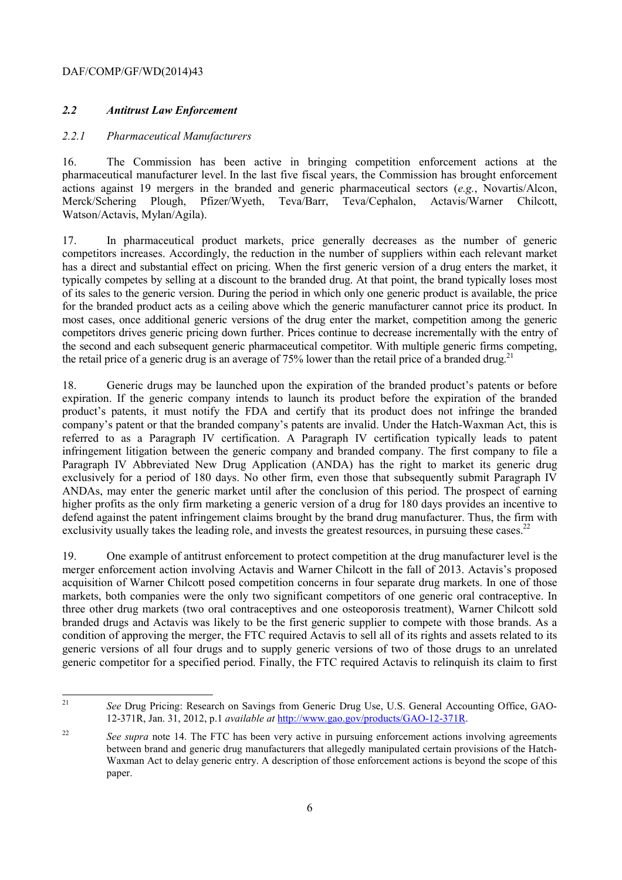#### *2.2 Antitrust Law Enforcement*

#### *2.2.1 Pharmaceutical Manufacturers*

16. The Commission has been active in bringing competition enforcement actions at the pharmaceutical manufacturer level. In the last five fiscal years, the Commission has brought enforcement actions against 19 mergers in the branded and generic pharmaceutical sectors (*e.g.*, Novartis/Alcon, Merck/Schering Plough, Pfizer/Wyeth, Teva/Barr, Teva/Cephalon, Actavis/Warner Chilcott, Watson/Actavis, Mylan/Agila).

 has a direct and substantial effect on pricing. When the first generic version of a drug enters the market, it 17. In pharmaceutical product markets, price generally decreases as the number of generic competitors increases. Accordingly, the reduction in the number of suppliers within each relevant market typically competes by selling at a discount to the branded drug. At that point, the brand typically loses most of its sales to the generic version. During the period in which only one generic product is available, the price for the branded product acts as a ceiling above which the generic manufacturer cannot price its product. In most cases, once additional generic versions of the drug enter the market, competition among the generic competitors drives generic pricing down further. Prices continue to decrease incrementally with the entry of the second and each subsequent generic pharmaceutical competitor. With multiple generic firms competing, the retail price of a generic drug is an average of  $75\%$  lower than the retail price of a branded drug.<sup>21</sup>

 infringement litigation between the generic company and branded company. The first company to file a ANDAs, may enter the generic market until after the conclusion of this period. The prospect of earning 18. Generic drugs may be launched upon the expiration of the branded product's patents or before expiration. If the generic company intends to launch its product before the expiration of the branded product's patents, it must notify the FDA and certify that its product does not infringe the branded company's patent or that the branded company's patents are invalid. Under the Hatch-Waxman Act, this is referred to as a Paragraph IV certification. A Paragraph IV certification typically leads to patent Paragraph IV Abbreviated New Drug Application (ANDA) has the right to market its generic drug exclusively for a period of 180 days. No other firm, even those that subsequently submit Paragraph IV higher profits as the only firm marketing a generic version of a drug for 180 days provides an incentive to defend against the patent infringement claims brought by the brand drug manufacturer. Thus, the firm with exclusivity usually takes the leading role, and invests the greatest resources, in pursuing these cases.<sup>22</sup>

19. One example of antitrust enforcement to protect competition at the drug manufacturer level is the merger enforcement action involving Actavis and Warner Chilcott in the fall of 2013. Actavis's proposed acquisition of Warner Chilcott posed competition concerns in four separate drug markets. In one of those markets, both companies were the only two significant competitors of one generic oral contraceptive. In three other drug markets (two oral contraceptives and one osteoporosis treatment), Warner Chilcott sold branded drugs and Actavis was likely to be the first generic supplier to compete with those brands. As a condition of approving the merger, the FTC required Actavis to sell all of its rights and assets related to its generic versions of all four drugs and to supply generic versions of two of those drugs to an unrelated generic competitor for a specified period. Finally, the FTC required Actavis to relinquish its claim to first

 $\overline{a}$ See Drug Pricing: Research on Savings from Generic Drug Use, U.S. General Accounting Office, GAO-12-371R, Jan. 31, 2012, p.1 *available at* http://www.gao.gov/products/GAO-12-371R.

 $22$  Waxman Act to delay generic entry. A description of those enforcement actions is beyond the scope of this See supra note 14. The FTC has been very active in pursuing enforcement actions involving agreements between brand and generic drug manufacturers that allegedly manipulated certain provisions of the Hatchpaper.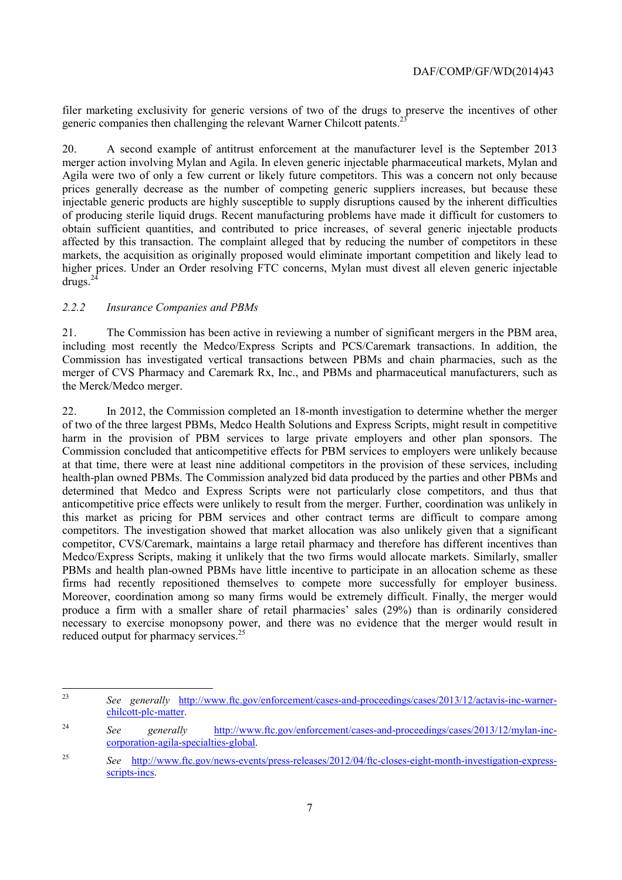filer marketing exclusivity for generic versions of two of the drugs to preserve the incentives of other generic companies then challenging the relevant Warner Chilcott patents.<sup>2</sup>

20. A second example of antitrust enforcement at the manufacturer level is the September 2013 merger action involving Mylan and Agila. In eleven generic injectable pharmaceutical markets, Mylan and Agila were two of only a few current or likely future competitors. This was a concern not only because prices generally decrease as the number of competing generic suppliers increases, but because these injectable generic products are highly susceptible to supply disruptions caused by the inherent difficulties of producing sterile liquid drugs. Recent manufacturing problems have made it difficult for customers to obtain sufficient quantities, and contributed to price increases, of several generic injectable products affected by this transaction. The complaint alleged that by reducing the number of competitors in these markets, the acquisition as originally proposed would eliminate important competition and likely lead to higher prices. Under an Order resolving FTC concerns, Mylan must divest all eleven generic injectable  $\frac{6}{\text{ctures}}$ .<sup>24</sup>

# *2.2.2 Insurance Companies and PBMs*

21. The Commission has been active in reviewing a number of significant mergers in the PBM area, including most recently the Medco/Express Scripts and PCS/Caremark transactions. In addition, the Commission has investigated vertical transactions between PBMs and chain pharmacies, such as the merger of CVS Pharmacy and Caremark Rx, Inc., and PBMs and pharmaceutical manufacturers, such as the Merck/Medco merger.

22. In 2012, the Commission completed an 18-month investigation to determine whether the merger of two of the three largest PBMs, Medco Health Solutions and Express Scripts, might result in competitive harm in the provision of PBM services to large private employers and other plan sponsors. The Commission concluded that anticompetitive effects for PBM services to employers were unlikely because at that time, there were at least nine additional competitors in the provision of these services, including health-plan owned PBMs. The Commission analyzed bid data produced by the parties and other PBMs and determined that Medco and Express Scripts were not particularly close competitors, and thus that anticompetitive price effects were unlikely to result from the merger. Further, coordination was unlikely in this market as pricing for PBM services and other contract terms are difficult to compare among competitors. The investigation showed that market allocation was also unlikely given that a significant competitor, CVS/Caremark, maintains a large retail pharmacy and therefore has different incentives than Medco/Express Scripts, making it unlikely that the two firms would allocate markets. Similarly, smaller PBMs and health plan-owned PBMs have little incentive to participate in an allocation scheme as these firms had recently repositioned themselves to compete more successfully for employer business. Moreover, coordination among so many firms would be extremely difficult. Finally, the merger would produce a firm with a smaller share of retail pharmacies' sales (29%) than is ordinarily considered necessary to exercise monopsony power, and there was no evidence that the merger would result in reduced output for pharmacy services.<sup>25</sup>

 $23$ See generally http://www.ftc.gov/enforcement/cases-and-proceedings/cases/2013/12/actavis-inc-warnerchilcott-plc-matter.

<sup>&</sup>lt;sup>24</sup> *See* generally http://www.ftc.gov/enforcement/cases-and-proceedings/cases/2013/12/mylan-inccorporation-agila-specialties-global.

<sup>&</sup>lt;sup>25</sup> See http://www.ftc.gov/news-events/press-releases/2012/04/ftc-closes-eight-month-investigation-expressscripts-incs.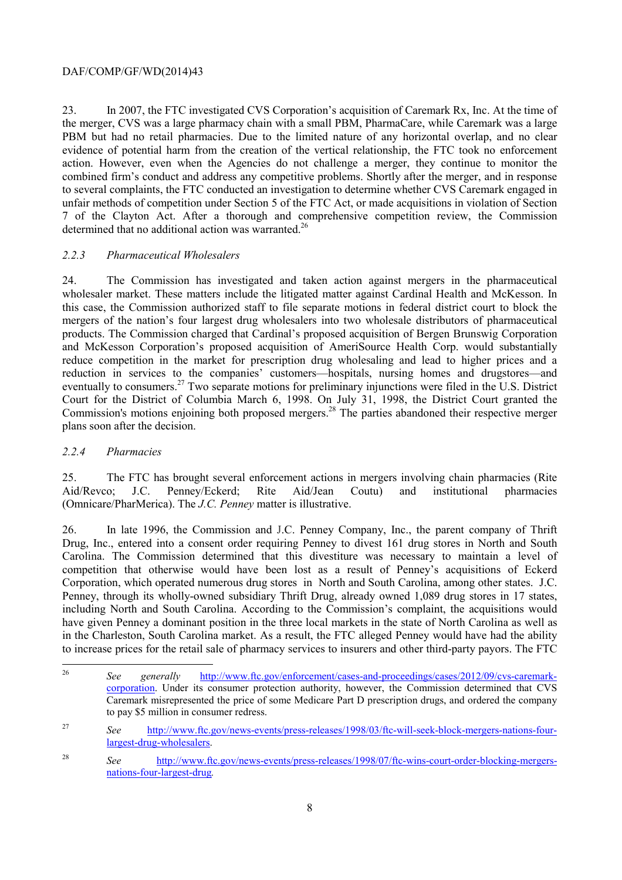23. In 2007, the FTC investigated CVS Corporation's acquisition of Caremark Rx, Inc. At the time of the merger, CVS was a large pharmacy chain with a small PBM, PharmaCare, while Caremark was a large PBM but had no retail pharmacies. Due to the limited nature of any horizontal overlap, and no clear evidence of potential harm from the creation of the vertical relationship, the FTC took no enforcement action. However, even when the Agencies do not challenge a merger, they continue to monitor the combined firm's conduct and address any competitive problems. Shortly after the merger, and in response to several complaints, the FTC conducted an investigation to determine whether CVS Caremark engaged in unfair methods of competition under Section 5 of the FTC Act, or made acquisitions in violation of Section 7 of the Clayton Act. After a thorough and comprehensive competition review, the Commission determined that no additional action was warranted.<sup>26</sup>

#### *2.2.3 Pharmaceutical Wholesalers*

24. The Commission has investigated and taken action against mergers in the pharmaceutical wholesaler market. These matters include the litigated matter against Cardinal Health and McKesson. In this case, the Commission authorized staff to file separate motions in federal district court to block the mergers of the nation's four largest drug wholesalers into two wholesale distributors of pharmaceutical products. The Commission charged that Cardinal's proposed acquisition of Bergen Brunswig Corporation and McKesson Corporation's proposed acquisition of AmeriSource Health Corp. would substantially reduce competition in the market for prescription drug wholesaling and lead to higher prices and a reduction in services to the companies' customers—hospitals, nursing homes and drugstores—and eventually to consumers.<sup>27</sup> Two separate motions for preliminary injunctions were filed in the U.S. District Court for the District of Columbia March 6, 1998. On July 31, 1998, the District Court granted the Commission's motions enjoining both proposed mergers.<sup>28</sup> The parties abandoned their respective merger plans soon after the decision.

# *2.2.4 Pharmacies*

25. The FTC has brought several enforcement actions in mergers involving chain pharmacies (Rite Aid/Revco; J.C. Penney/Eckerd; Rite Aid/Jean Coutu) and institutional pharmacies (Omnicare/PharMerica). The *J.C. Penney* matter is illustrative.

 Corporation, which operated numerous drug stores in North and South Carolina, among other states. J.C. 26. In late 1996, the Commission and J.C. Penney Company, Inc., the parent company of Thrift Drug, Inc., entered into a consent order requiring Penney to divest 161 drug stores in North and South Carolina. The Commission determined that this divestiture was necessary to maintain a level of competition that otherwise would have been lost as a result of Penney's acquisitions of Eckerd Penney, through its wholly-owned subsidiary Thrift Drug, already owned 1,089 drug stores in 17 states, including North and South Carolina. According to the Commission's complaint, the acquisitions would have given Penney a dominant position in the three local markets in the state of North Carolina as well as in the Charleston, South Carolina market. As a result, the FTC alleged Penney would have had the ability to increase prices for the retail sale of pharmacy services to insurers and other third-party payors. The FTC

See generally http://www.ftc.gov/enforcement/cases-and-proceedings/cases/2012/09/cvs-caremarkcorporation. Under its consumer protection authority, however, the Commission determined that CVS Caremark misrepresented the price of some Medicare Part D prescription drugs, and ordered the company to pay \$5 million in consumer redress.

<sup>&</sup>lt;sup>27</sup> See http://www.ftc.gov/news-events/press-releases/1998/03/ftc-will-seek-block-mergers-nations-fourlargest-drug-wholesalers.

<sup>&</sup>lt;sup>28</sup> See http://www.ftc.gov/news-events/press-releases/1998/07/ftc-wins-court-order-blocking-mergersnations-four-largest-drug*.*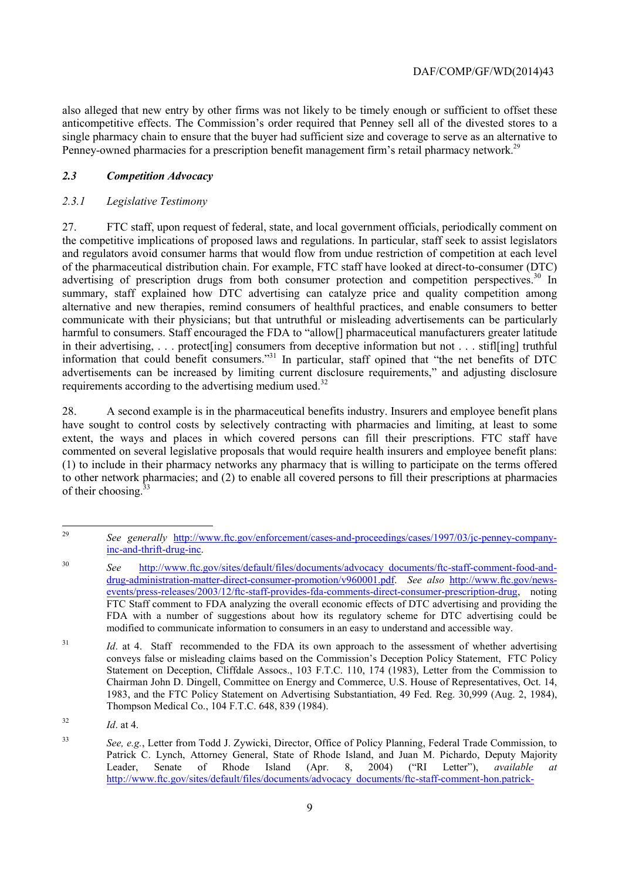Penney-owned pharmacies for a prescription benefit management firm's retail pharmacy network.<sup>29</sup> also alleged that new entry by other firms was not likely to be timely enough or sufficient to offset these anticompetitive effects. The Commission's order required that Penney sell all of the divested stores to a single pharmacy chain to ensure that the buyer had sufficient size and coverage to serve as an alternative to

#### *2.3 Competition Advocacy*

#### *2.3.1 Legislative Testimony*

harmful to consumers. Staff encouraged the FDA to "allow[] pharmaceutical manufacturers greater latitude in their advertising, . . . protect[ing] consumers from deceptive information but not . . . stifl[ing] truthful requirements according to the advertising medium used. $32$ 27. FTC staff, upon request of federal, state, and local government officials, periodically comment on the competitive implications of proposed laws and regulations. In particular, staff seek to assist legislators and regulators avoid consumer harms that would flow from undue restriction of competition at each level of the pharmaceutical distribution chain. For example, FTC staff have looked at direct-to-consumer (DTC) advertising of prescription drugs from both consumer protection and competition perspectives.<sup>30</sup> In summary, staff explained how DTC advertising can catalyze price and quality competition among alternative and new therapies, remind consumers of healthful practices, and enable consumers to better communicate with their physicians; but that untruthful or misleading advertisements can be particularly information that could benefit consumers."31 In particular, staff opined that "the net benefits of DTC advertisements can be increased by limiting current disclosure requirements," and adjusting disclosure

28. A second example is in the pharmaceutical benefits industry. Insurers and employee benefit plans have sought to control costs by selectively contracting with pharmacies and limiting, at least to some extent, the ways and places in which covered persons can fill their prescriptions. FTC staff have commented on several legislative proposals that would require health insurers and employee benefit plans: (1) to include in their pharmacy networks any pharmacy that is willing to participate on the terms offered to other network pharmacies; and (2) to enable all covered persons to fill their prescriptions at pharmacies of their choosing.<sup>33</sup>

<sup>29</sup> See generally http://www.ftc.gov/enforcement/cases-and-proceedings/cases/1997/03/jc-penney-companyinc-and-thrift-drug-inc.

 FDA with a number of suggestions about how its regulatory scheme for DTC advertising could be <sup>30</sup> *See* http://www.ftc.gov/sites/default/files/documents/advocacy\_documents/ftc-staff-comment-food-anddrug-administration-matter-direct-consumer-promotion/v960001.pdf. *See also* http://www.ftc.gov/newsevents/press-releases/2003/12/ftc-staff-provides-fda-comments-direct-consumer-prescription-drug, noting FTC Staff comment to FDA analyzing the overall economic effects of DTC advertising and providing the modified to communicate information to consumers in an easy to understand and accessible way.

<sup>&</sup>lt;sup>31</sup> *Id.* at 4. Staff recommended to the FDA its own approach to the assessment of whether advertising conveys false or misleading claims based on the Commission's Deception Policy Statement, FTC Policy Statement on Deception, Cliffdale Assocs., 103 F.T.C. 110, 174 (1983), Letter from the Commission to Chairman John D. Dingell, Committee on Energy and Commerce, U.S. House of Representatives, Oct. 14, 1983, and the FTC Policy Statement on Advertising Substantiation, 49 Fed. Reg. 30,999 (Aug. 2, 1984), Thompson Medical Co., 104 F.T.C. 648, 839 (1984).

<sup>32</sup> *Id.* at 4.

 $33$  Patrick C. Lynch, Attorney General, State of Rhode Island, and Juan M. Pichardo, Deputy Majority See, e.g., Letter from Todd J. Zywicki, Director, Office of Policy Planning, Federal Trade Commission, to Leader, Senate of Rhode Island (Apr. 8, 2004) ("RI Letter"), *available at*  http://www.ftc.gov/sites/default/files/documents/advocacy\_documents/ftc-staff-comment-hon.patrick-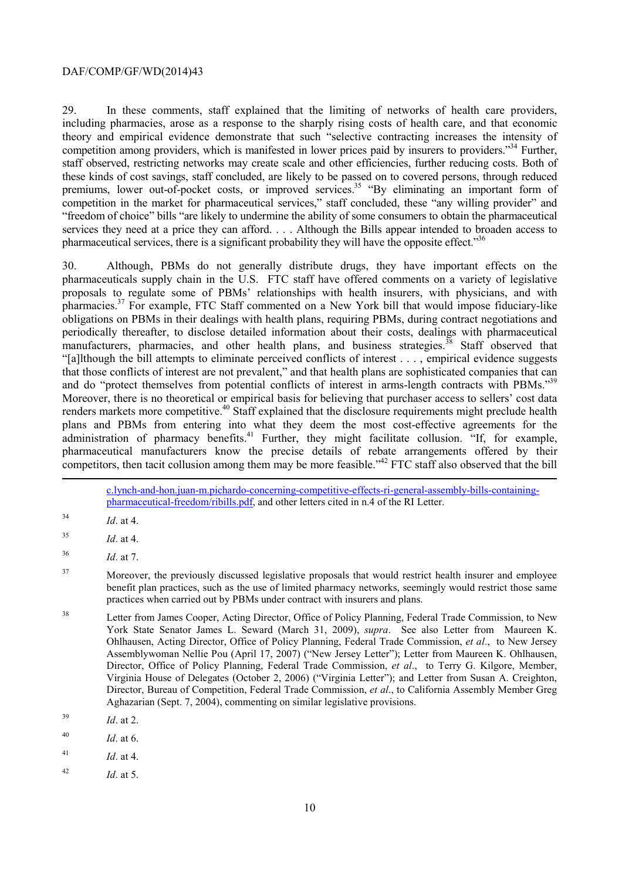29. In these comments, staff explained that the limiting of networks of health care providers, including pharmacies, arose as a response to the sharply rising costs of health care, and that economic theory and empirical evidence demonstrate that such "selective contracting increases the intensity of competition among providers, which is manifested in lower prices paid by insurers to providers."34 Further, staff observed, restricting networks may create scale and other efficiencies, further reducing costs. Both of these kinds of cost savings, staff concluded, are likely to be passed on to covered persons, through reduced premiums, lower out-of-pocket costs, or improved services.<sup>35</sup> "By eliminating an important form of competition in the market for pharmaceutical services," staff concluded, these "any willing provider" and "freedom of choice" bills "are likely to undermine the ability of some consumers to obtain the pharmaceutical services they need at a price they can afford. . . . Although the Bills appear intended to broaden access to pharmaceutical services, there is a significant probability they will have the opposite effect."<sup>36</sup>

-30. Although, PBMs do not generally distribute drugs, they have important effects on the pharmaceuticals supply chain in the U.S. FTC staff have offered comments on a variety of legislative proposals to regulate some of PBMs' relationships with health insurers, with physicians, and with pharmacies.<sup>37</sup> For example, FTC Staff commented on a New York bill that would impose fiduciary-like obligations on PBMs in their dealings with health plans, requiring PBMs, during contract negotiations and periodically thereafter, to disclose detailed information about their costs, dealings with pharmaceutical manufacturers, pharmacies, and other health plans, and business strategies. $38$  Staff observed that "[a]lthough the bill attempts to eliminate perceived conflicts of interest . . . , empirical evidence suggests that those conflicts of interest are not prevalent," and that health plans are sophisticated companies that can and do "protect themselves from potential conflicts of interest in arms-length contracts with PBMs."<sup>39</sup> Moreover, there is no theoretical or empirical basis for believing that purchaser access to sellers' cost data renders markets more competitive.<sup>40</sup> Staff explained that the disclosure requirements might preclude health plans and PBMs from entering into what they deem the most cost-effective agreements for the administration of pharmacy benefits. $41$  Further, they might facilitate collusion. "If, for example, pharmaceutical manufacturers know the precise details of rebate arrangements offered by their competitors, then tacit collusion among them may be more feasible."<sup>42</sup> FTC staff also observed that the bill

c.lynch-and-hon.juan-m.pichardo-concerning-competitive-effects-ri-general-assembly-bills-containingpharmaceutical-freedom/ribills.pdf, and other letters cited in n.4 of the RI Letter.

<sup>34</sup> *Id.* at 4.

 $^{35}$  *Id.* at 4.

 *Id.* at 7.

<sup>37</sup> Moreover, the previously discussed legislative proposals that would restrict health insurer and employee benefit plan practices, such as the use of limited pharmacy networks, seemingly would restrict those same practices when carried out by PBMs under contract with insurers and plans.

<sup>38</sup>  York State Senator James L. Seward (March 31, 2009), *supra*. See also Letter from Maureen K. Ohlhausen, Acting Director, Office of Policy Planning, Federal Trade Commission, *et al*., to New Jersey Letter from James Cooper, Acting Director, Office of Policy Planning, Federal Trade Commission, to New Assemblywoman Nellie Pou (April 17, 2007) ("New Jersey Letter"); Letter from Maureen K. Ohlhausen, Director, Office of Policy Planning, Federal Trade Commission, *et al*., to Terry G. Kilgore, Member, Virginia House of Delegates (October 2, 2006) ("Virginia Letter"); and Letter from Susan A. Creighton, Director, Bureau of Competition, Federal Trade Commission, *et al*., to California Assembly Member Greg Aghazarian (Sept. 7, 2004), commenting on similar legislative provisions.

<sup>39</sup>  $Id$  at 2.

<sup>40</sup> *Id.* at 6.

 $^{41}$  *Id.* at 4.

 $42$ *Id*. at 5.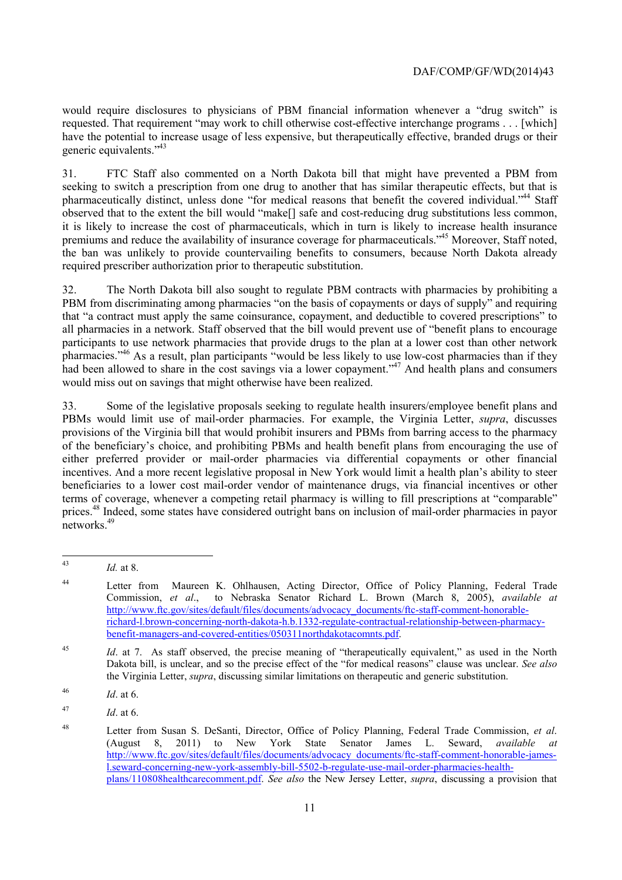would require disclosures to physicians of PBM financial information whenever a "drug switch" is requested. That requirement "may work to chill otherwise cost-effective interchange programs . . . [which] have the potential to increase usage of less expensive, but therapeutically effective, branded drugs or their generic equivalents."43

 observed that to the extent the bill would "make[] safe and cost-reducing drug substitutions less common, 31. FTC Staff also commented on a North Dakota bill that might have prevented a PBM from seeking to switch a prescription from one drug to another that has similar therapeutic effects, but that is pharmaceutically distinct, unless done "for medical reasons that benefit the covered individual."<sup>44</sup> Staff it is likely to increase the cost of pharmaceuticals, which in turn is likely to increase health insurance premiums and reduce the availability of insurance coverage for pharmaceuticals."<sup>45</sup> Moreover, Staff noted, the ban was unlikely to provide countervailing benefits to consumers, because North Dakota already required prescriber authorization prior to therapeutic substitution.

32. The North Dakota bill also sought to regulate PBM contracts with pharmacies by prohibiting a PBM from discriminating among pharmacies "on the basis of copayments or days of supply" and requiring that "a contract must apply the same coinsurance, copayment, and deductible to covered prescriptions" to all pharmacies in a network. Staff observed that the bill would prevent use of "benefit plans to encourage participants to use network pharmacies that provide drugs to the plan at a lower cost than other network pharmacies."46 As a result, plan participants "would be less likely to use low-cost pharmacies than if they had been allowed to share in the cost savings via a lower copayment."<sup>47</sup> And health plans and consumers would miss out on savings that might otherwise have been realized.

33. Some of the legislative proposals seeking to regulate health insurers/employee benefit plans and PBMs would limit use of mail-order pharmacies. For example, the Virginia Letter, *supra*, discusses provisions of the Virginia bill that would prohibit insurers and PBMs from barring access to the pharmacy of the beneficiary's choice, and prohibiting PBMs and health benefit plans from encouraging the use of either preferred provider or mail-order pharmacies via differential copayments or other financial incentives. And a more recent legislative proposal in New York would limit a health plan's ability to steer beneficiaries to a lower cost mail-order vendor of maintenance drugs, via financial incentives or other terms of coverage, whenever a competing retail pharmacy is willing to fill prescriptions at "comparable" prices.48 Indeed, some states have considered outright bans on inclusion of mail-order pharmacies in payor networks.<sup>49</sup>

 $43$ *Id.* at 8.

<sup>&</sup>lt;sup>44</sup> Letter from Maureen K. Ohlhausen, Acting Director, Office of Policy Planning, Federal Trade Commission, *et al*., to Nebraska Senator Richard L. Brown (March 8, 2005), *available at*  http://www.ftc.gov/sites/default/files/documents/advocacy\_documents/ftc-staff-comment-honorablerichard-l.brown-concerning-north-dakota-h.b.1332-regulate-contractual-relationship-between-pharmacybenefit-managers-and-covered-entities/050311northdakotacomnts.pdf.

<sup>&</sup>lt;sup>45</sup> *Id.* at 7. As staff observed, the precise meaning of "therapeutically equivalent," as used in the North Dakota bill, is unclear, and so the precise effect of the "for medical reasons" clause was unclear. *See also*  the Virginia Letter, *supra*, discussing similar limitations on therapeutic and generic substitution.

 $^{46}$  *Id* at 6

<sup>47</sup> *Id.* at 6.

<sup>48</sup> Letter from Susan S. DeSanti, Director, Office of Policy Planning, Federal Trade Commission, et al. (August 8, 2011) to New York State Senator James L. Seward, *available at*  http://www.ftc.gov/sites/default/files/documents/advocacy\_documents/ftc-staff-comment-honorable-jamesl.seward-concerning-new-york-assembly-bill-5502-b-regulate-use-mail-order-pharmacies-healthplans/110808healthcarecomment.pdf. *See also* the New Jersey Letter, *supra*, discussing a provision that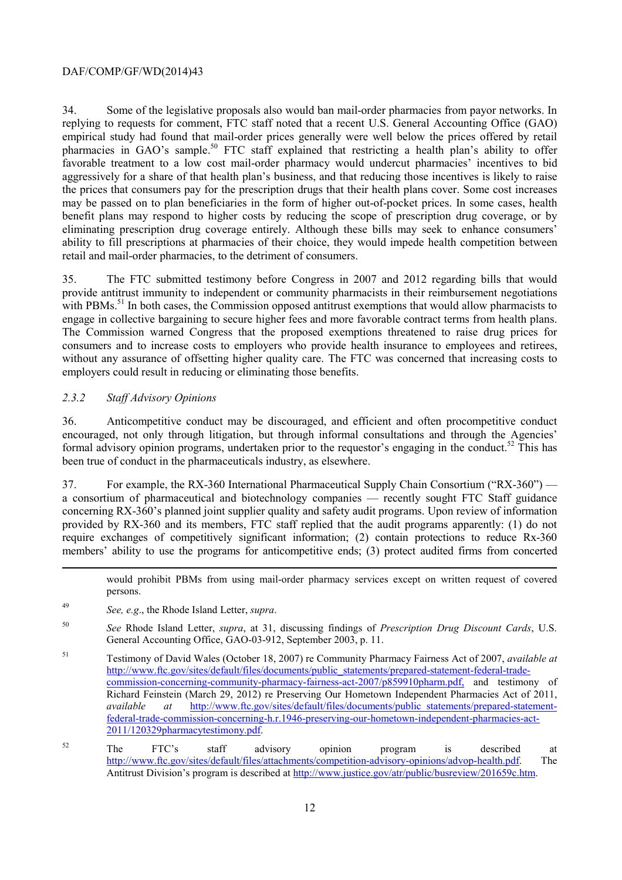34. Some of the legislative proposals also would ban mail-order pharmacies from payor networks. In replying to requests for comment, FTC staff noted that a recent U.S. General Accounting Office (GAO) empirical study had found that mail-order prices generally were well below the prices offered by retail pharmacies in GAO's sample.<sup>50</sup> FTC staff explained that restricting a health plan's ability to offer favorable treatment to a low cost mail-order pharmacy would undercut pharmacies' incentives to bid aggressively for a share of that health plan's business, and that reducing those incentives is likely to raise the prices that consumers pay for the prescription drugs that their health plans cover. Some cost increases may be passed on to plan beneficiaries in the form of higher out-of-pocket prices. In some cases, health benefit plans may respond to higher costs by reducing the scope of prescription drug coverage, or by eliminating prescription drug coverage entirely. Although these bills may seek to enhance consumers' ability to fill prescriptions at pharmacies of their choice, they would impede health competition between retail and mail-order pharmacies, to the detriment of consumers.

35. The FTC submitted testimony before Congress in 2007 and 2012 regarding bills that would provide antitrust immunity to independent or community pharmacists in their reimbursement negotiations with PBMs.<sup>51</sup> In both cases, the Commission opposed antitrust exemptions that would allow pharmacists to engage in collective bargaining to secure higher fees and more favorable contract terms from health plans. The Commission warned Congress that the proposed exemptions threatened to raise drug prices for consumers and to increase costs to employers who provide health insurance to employees and retirees, without any assurance of offsetting higher quality care. The FTC was concerned that increasing costs to employers could result in reducing or eliminating those benefits.

#### *2.3.2 Staff Advisory Opinions*

1

36. Anticompetitive conduct may be discouraged, and efficient and often procompetitive conduct encouraged, not only through litigation, but through informal consultations and through the Agencies' formal advisory opinion programs, undertaken prior to the requestor's engaging in the conduct.<sup>52</sup> This has been true of conduct in the pharmaceuticals industry, as elsewhere.

37. For example, the RX-360 International Pharmaceutical Supply Chain Consortium ("RX-360") a consortium of pharmaceutical and biotechnology companies — recently sought FTC Staff guidance concerning RX-360's planned joint supplier quality and safety audit programs. Upon review of information provided by RX-360 and its members, FTC staff replied that the audit programs apparently: (1) do not require exchanges of competitively significant information; (2) contain protections to reduce Rx-360 members' ability to use the programs for anticompetitive ends; (3) protect audited firms from concerted

 would prohibit PBMs from using mail-order pharmacy services except on written request of covered persons.

- <sup>49</sup> *See, e.g*., the Rhode Island Letter, *supra*.
- 50 General Accounting Office, GAO-03-912, September 2003, p. 11. <sup>50</sup> *See* Rhode Island Letter, *supra*, at 31, discussing findings of *Prescription Drug Discount Cards*, U.S.
- <sup>51</sup> Testimony of David Wales (October 18, 2007) re Community Pharmacy Fairness Act of 2007, *available at*  http://www.ftc.gov/sites/default/files/documents/public\_statements/prepared-statement-federal-tradecommission-concerning-community-pharmacy-fairness-act-2007/p859910pharm.pdf, and testimony of Richard Feinstein (March 29, 2012) re Preserving Our Hometown Independent Pharmacies Act of 2011, *available at* http://www.ftc.gov/sites/default/files/documents/public\_statements/prepared-statementfederal-trade-commission-concerning-h.r.1946-preserving-our-hometown-independent-pharmacies-act-2011/120329pharmacytestimony.pdf.
- 52  $52$  The FTC's staff advisory opinion program is described at http://www.ftc.gov/sites/default/files/attachments/competition-advisory-opinions/advop-health.pdf. The Antitrust Division's program is described at http://www.justice.gov/atr/public/busreview/201659c.htm.